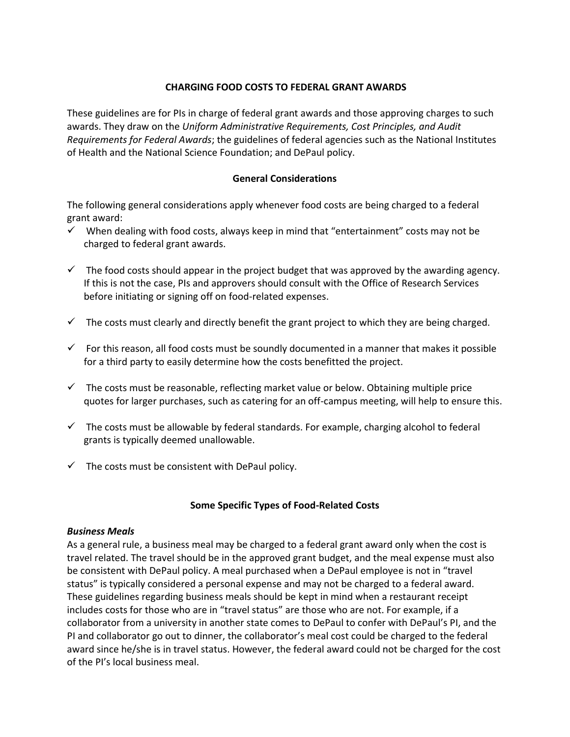### **CHARGING FOOD COSTS TO FEDERAL GRANT AWARDS**

These guidelines are for PIs in charge of federal grant awards and those approving charges to such awards. They draw on the *Uniform Administrative Requirements, Cost Principles, and Audit Requirements for Federal Awards*; the guidelines of federal agencies such as the National Institutes of Health and the National Science Foundation; and DePaul policy.

### **General Considerations**

The following general considerations apply whenever food costs are being charged to a federal grant award:

- $\checkmark$  When dealing with food costs, always keep in mind that "entertainment" costs may not be charged to federal grant awards.
- $\checkmark$  The food costs should appear in the project budget that was approved by the awarding agency. If this is not the case, PIs and approvers should consult with the Office of Research Services before initiating or signing off on food-related expenses.
- $\checkmark$  The costs must clearly and directly benefit the grant project to which they are being charged.
- $\checkmark$  For this reason, all food costs must be soundly documented in a manner that makes it possible for a third party to easily determine how the costs benefitted the project.
- $\checkmark$  The costs must be reasonable, reflecting market value or below. Obtaining multiple price quotes for larger purchases, such as catering for an off-campus meeting, will help to ensure this.
- $\checkmark$  The costs must be allowable by federal standards. For example, charging alcohol to federal grants is typically deemed unallowable.
- $\checkmark$  The costs must be consistent with DePaul policy.

### **Some Specific Types of Food-Related Costs**

#### *Business Meals*

As a general rule, a business meal may be charged to a federal grant award only when the cost is travel related. The travel should be in the approved grant budget, and the meal expense must also be consistent with DePaul policy. A meal purchased when a DePaul employee is not in "travel status" is typically considered a personal expense and may not be charged to a federal award. These guidelines regarding business meals should be kept in mind when a restaurant receipt includes costs for those who are in "travel status" are those who are not. For example, if a collaborator from a university in another state comes to DePaul to confer with DePaul's PI, and the PI and collaborator go out to dinner, the collaborator's meal cost could be charged to the federal award since he/she is in travel status. However, the federal award could not be charged for the cost of the PI's local business meal.